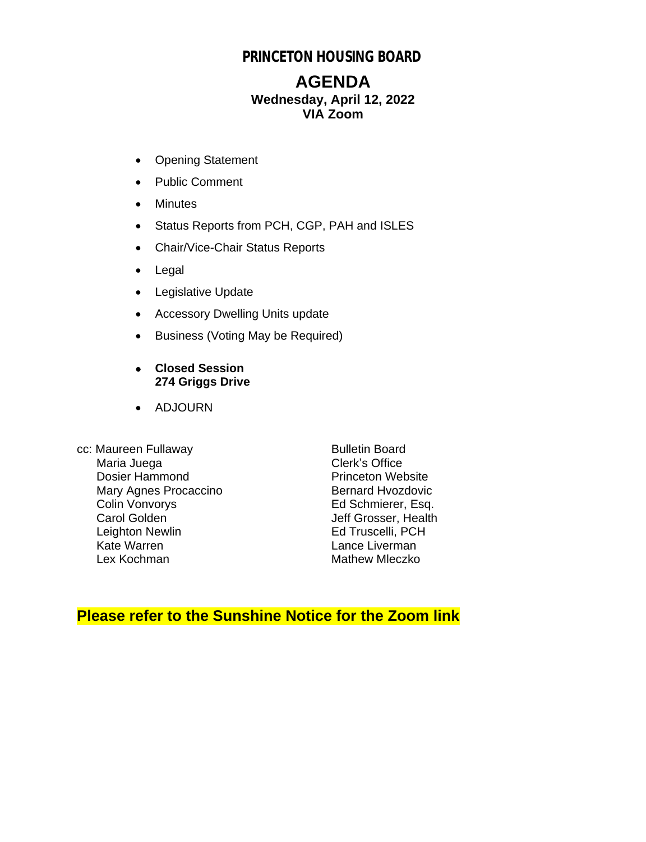# **PRINCETON HOUSING BOARD**

# **AGENDA Wednesday, April 12, 2022 VIA Zoom**

- Opening Statement
- Public Comment
- Minutes
- Status Reports from PCH, CGP, PAH and ISLES
- Chair/Vice-Chair Status Reports
- Legal
- Legislative Update
- Accessory Dwelling Units update
- Business (Voting May be Required)
- **Closed Session 274 Griggs Drive**
- ADJOURN
- cc: Maureen Fullaway Bulletin Board<br>Maria Juega by Clerk's Office Maria Juega<br>
Dosier Hammond<br>
Dosier Hammond<br>
Clerk's Office Dosier Hammond<br>
Mary Agnes Procaccino<br>
Mary Agnes Procaccino<br>
Pernard Hyozdovic Mary Agnes Procaccino<br>Colin Vonvorys Colin Vonvorys Ed Schmierer, Esq.<br>
Carol Golden Schwierer, Health Leighton Newlin<br>Kate Warren Lex Kochman Mathew Mleczko

Jeff Grosser, Health<br>Ed Truscelli, PCH Lance Liverman

# **Please refer to the Sunshine Notice for the Zoom link**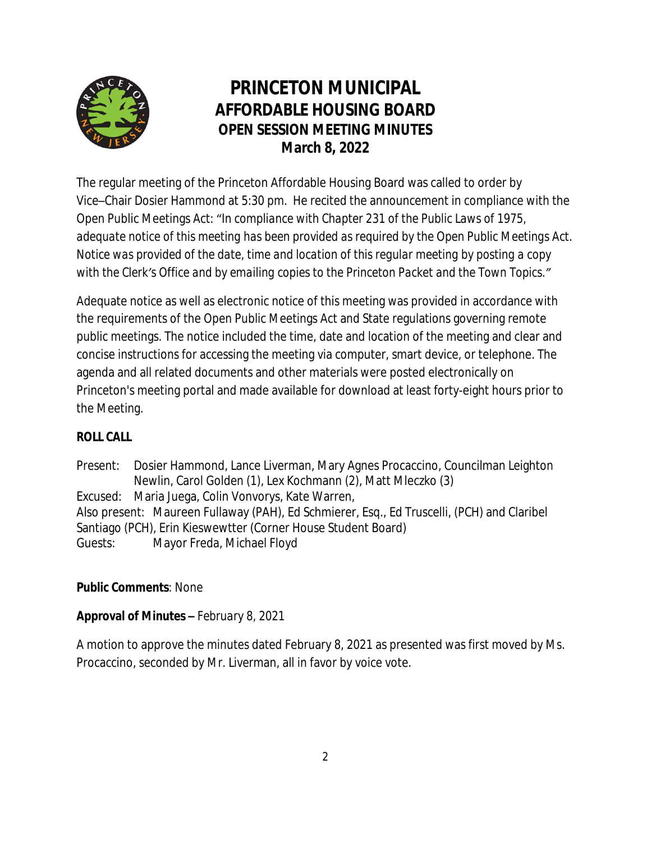

# **PRINCETON MUNICIPAL AFFORDABLE HOUSING BOARD OPEN SESSION MEETING MINUTES March 8, 2022**

The regular meeting of the Princeton Affordable Housing Board was called to order by Vice–Chair Dosier Hammond at 5:30 pm. He recited the announcement in compliance with the Open Public Meetings Act: "*In compliance with Chapter 231 of the Public Laws of 1975, adequate notice of this meeting has been provided as required by the Open Public Meetings Act. Notice was provided of the date, time and location of this regular meeting by posting a copy with the Clerk's Office and by emailing copies to the Princeton Packet and the Town Topics."*

Adequate notice as well as electronic notice of this meeting was provided in accordance with the requirements of the Open Public Meetings Act and State regulations governing remote public meetings. The notice included the time, date and location of the meeting and clear and concise instructions for accessing the meeting via computer, smart device, or telephone. The agenda and all related documents and other materials were posted electronically on Princeton's meeting portal and made available for download at least forty-eight hours prior to the Meeting.

# **ROLL CALL**

Present: Dosier Hammond, Lance Liverman, Mary Agnes Procaccino, Councilman Leighton Newlin, Carol Golden (1), Lex Kochmann (2), Matt Mleczko (3) Excused: Maria Juega, Colin Vonvorys, Kate Warren, Also present: Maureen Fullaway (PAH), Ed Schmierer, Esq., Ed Truscelli, (PCH) and Claribel Santiago (PCH), Erin Kieswewtter (Corner House Student Board) Guests: Mayor Freda, Michael Floyd

# **Public Comments**: None

#### **Approval of Minutes –** *February 8, 2021*

A motion to approve the minutes dated February 8, 2021 as presented was first moved by Ms. Procaccino, seconded by Mr. Liverman, all in favor by voice vote.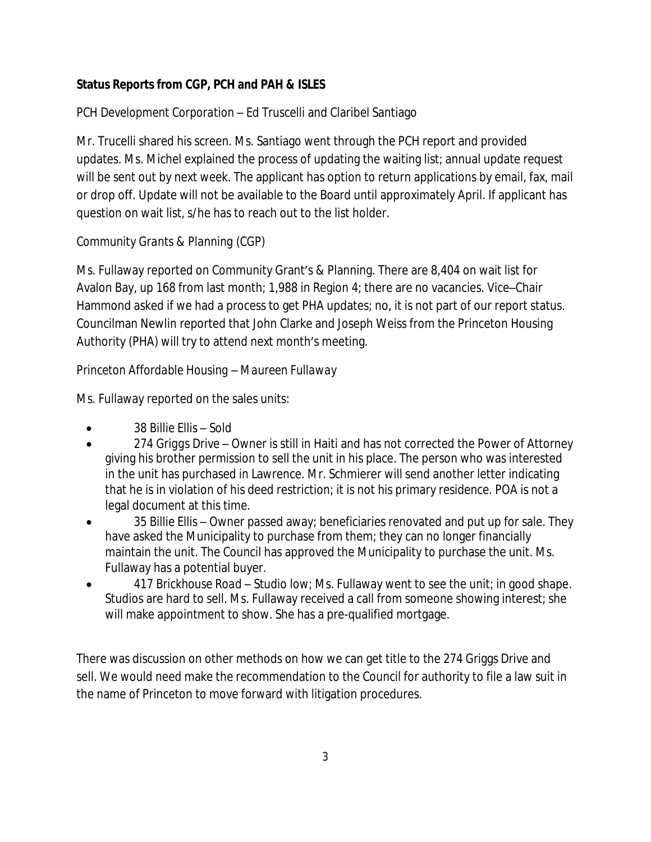## **Status Reports from CGP, PCH and PAH & ISLES**

# *PCH Development Corporation* – Ed Truscelli and Claribel Santiago

Mr. Trucelli shared his screen. Ms. Santiago went through the PCH report and provided updates. Ms. Michel explained the process of updating the waiting list; annual update request will be sent out by next week. The applicant has option to return applications by email, fax, mail or drop off. Update will not be available to the Board until approximately April. If applicant has question on wait list, s/he has to reach out to the list holder.

## *Community Grants & Planning (CGP)*

Ms. Fullaway reported on Community Grant's & Planning. There are 8,404 on wait list for Avalon Bay, up 168 from last month; 1,988 in Region 4; there are no vacancies. Vice–Chair Hammond asked if we had a process to get PHA updates; no, it is not part of our report status. Councilman Newlin reported that John Clarke and Joseph Weiss from the Princeton Housing Authority (PHA) will try to attend next month's meeting.

#### *Princeton Affordable Housing – Maureen Fullaway*

Ms. Fullaway reported on the sales units:

- *38 Billie Ellis* Sold
- 274 Griggs Drive Owner is still in Haiti and has not corrected the Power of Attorney giving his brother permission to sell the unit in his place. The person who was interested in the unit has purchased in Lawrence. Mr. Schmierer will send another letter indicating that he is in violation of his deed restriction; it is not his primary residence. POA is not a legal document at this time.
- *35 Billie Ellis* Owner passed away; beneficiaries renovated and put up for sale. They have asked the Municipality to purchase from them; they can no longer financially maintain the unit. The Council has approved the Municipality to purchase the unit. Ms. Fullaway has a potential buyer.
- *417 Brickhouse Road* Studio low; Ms. Fullaway went to see the unit; in good shape. Studios are hard to sell. Ms. Fullaway received a call from someone showing interest; she will make appointment to show. She has a pre-qualified mortgage.

There was discussion on other methods on how we can get title to the 274 Griggs Drive and sell. We would need make the recommendation to the Council for authority to file a law suit in the name of Princeton to move forward with litigation procedures.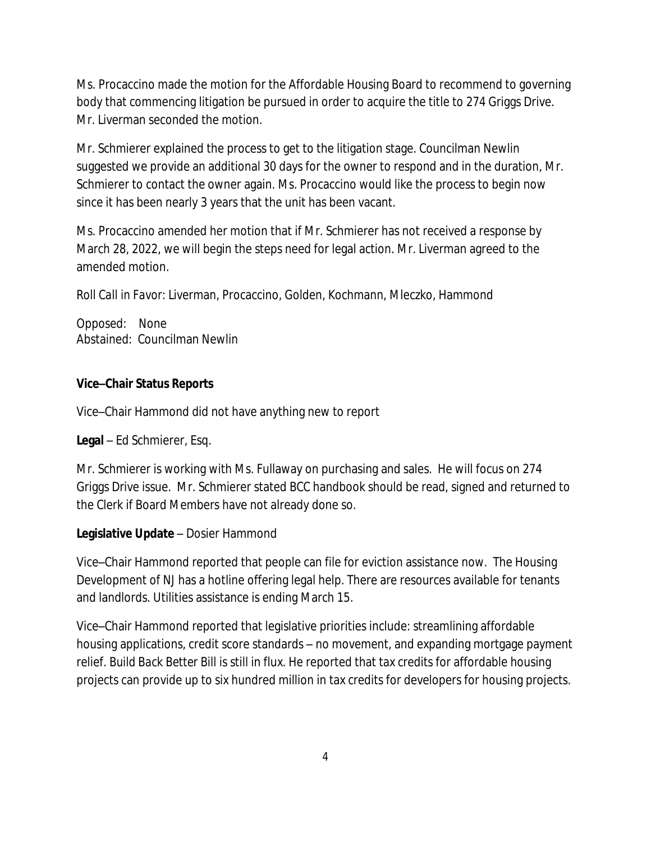Ms. Procaccino made the motion for the Affordable Housing Board to recommend to governing body that commencing litigation be pursued in order to acquire the title to 274 Griggs Drive. Mr. Liverman seconded the motion.

Mr. Schmierer explained the process to get to the litigation stage. Councilman Newlin suggested we provide an additional 30 days for the owner to respond and in the duration, Mr. Schmierer to contact the owner again. Ms. Procaccino would like the process to begin now since it has been nearly 3 years that the unit has been vacant.

Ms. Procaccino amended her motion that if Mr. Schmierer has not received a response by March 28, 2022, we will begin the steps need for legal action. Mr. Liverman agreed to the amended motion.

*Roll Call in Favor:* Liverman, Procaccino, Golden, Kochmann, Mleczko, Hammond

Opposed: None Abstained: Councilman Newlin

#### **Vice–Chair Status Reports**

Vice–Chair Hammond did not have anything new to report

**Legal** – Ed Schmierer, Esq.

Mr. Schmierer is working with Ms. Fullaway on purchasing and sales. He will focus on 274 Griggs Drive issue. Mr. Schmierer stated BCC handbook should be read, signed and returned to the Clerk if Board Members have not already done so.

#### **Legislative Update** – Dosier Hammond

Vice–Chair Hammond reported that people can file for eviction assistance now. The Housing Development of NJ has a hotline offering legal help. There are resources available for tenants and landlords. Utilities assistance is ending March 15.

Vice–Chair Hammond reported that legislative priorities include: streamlining affordable housing applications, credit score standards – no movement, and expanding mortgage payment relief. *Build Back Better Bill* is still in flux. He reported that tax credits for affordable housing projects can provide up to six hundred million in tax credits for developers for housing projects.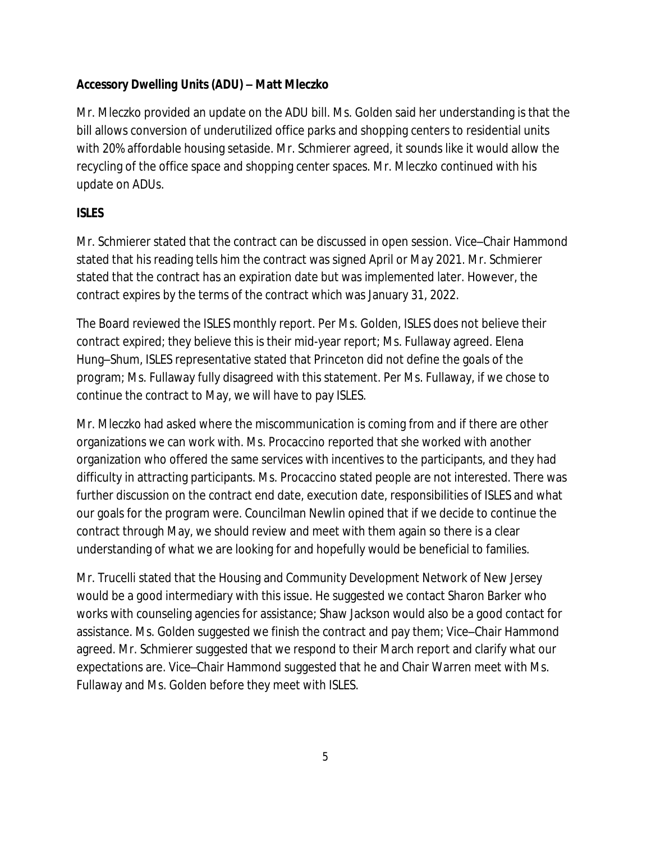## *Accessory Dwelling Units (ADU)* **– Matt Mleczko**

Mr. Mleczko provided an update on the ADU bill. Ms. Golden said her understanding is that the bill allows conversion of underutilized office parks and shopping centers to residential units with 20% affordable housing setaside. Mr. Schmierer agreed, it sounds like it would allow the recycling of the office space and shopping center spaces. Mr. Mleczko continued with his update on ADUs.

## *ISLES*

Mr. Schmierer stated that the contract can be discussed in open session. Vice–Chair Hammond stated that his reading tells him the contract was signed April or May 2021. Mr. Schmierer stated that the contract has an expiration date but was implemented later. However, the contract expires by the terms of the contract which was January 31, 2022.

The Board reviewed the ISLES monthly report. Per Ms. Golden, ISLES does not believe their contract expired; they believe this is their mid-year report; Ms. Fullaway agreed. Elena Hung–Shum, ISLES representative stated that Princeton did not define the goals of the program; Ms. Fullaway fully disagreed with this statement. Per Ms. Fullaway, if we chose to continue the contract to May, we will have to pay ISLES.

Mr. Mleczko had asked where the miscommunication is coming from and if there are other organizations we can work with. Ms. Procaccino reported that she worked with another organization who offered the same services with incentives to the participants, and they had difficulty in attracting participants. Ms. Procaccino stated people are not interested. There was further discussion on the contract end date, execution date, responsibilities of ISLES and what our goals for the program were. Councilman Newlin opined that if we decide to continue the contract through May, we should review and meet with them again so there is a clear understanding of what we are looking for and hopefully would be beneficial to families.

Mr. Trucelli stated that the Housing and Community Development Network of New Jersey would be a good intermediary with this issue. He suggested we contact Sharon Barker who works with counseling agencies for assistance; Shaw Jackson would also be a good contact for assistance. Ms. Golden suggested we finish the contract and pay them; Vice–Chair Hammond agreed. Mr. Schmierer suggested that we respond to their March report and clarify what our expectations are. Vice–Chair Hammond suggested that he and Chair Warren meet with Ms. Fullaway and Ms. Golden before they meet with ISLES.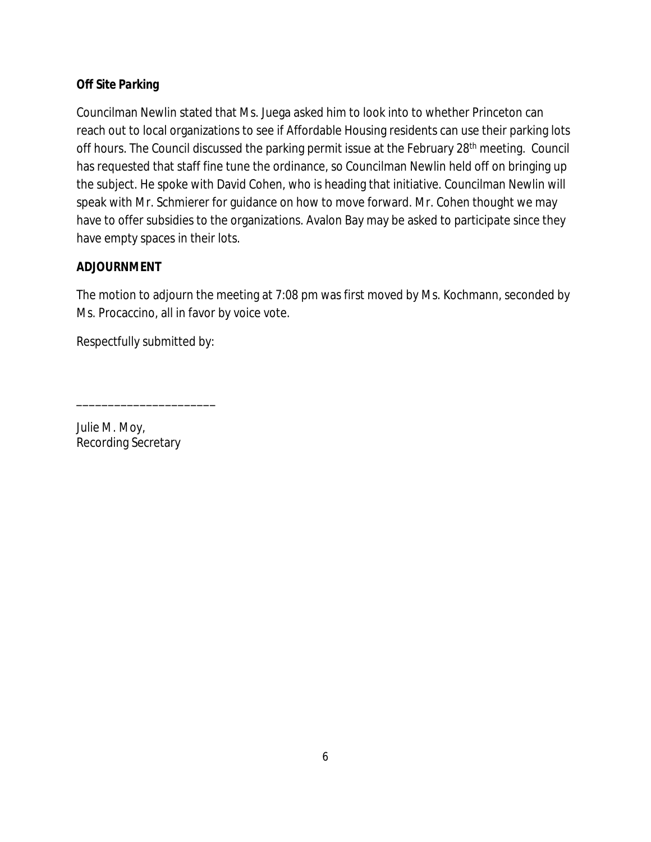### *Off Site Parking*

Councilman Newlin stated that Ms. Juega asked him to look into to whether Princeton can reach out to local organizations to see if Affordable Housing residents can use their parking lots off hours. The Council discussed the parking permit issue at the February 28<sup>th</sup> meeting. Council has requested that staff fine tune the ordinance, so Councilman Newlin held off on bringing up the subject. He spoke with David Cohen, who is heading that initiative. Councilman Newlin will speak with Mr. Schmierer for guidance on how to move forward. Mr. Cohen thought we may have to offer subsidies to the organizations. Avalon Bay may be asked to participate since they have empty spaces in their lots.

#### **ADJOURNMENT**

The motion to adjourn the meeting at 7:08 pm was first moved by Ms. Kochmann, seconded by Ms. Procaccino, all in favor by voice vote.

Respectfully submitted by:

\_\_\_\_\_\_\_\_\_\_\_\_\_\_\_\_\_\_\_\_\_\_

*Julie M. Moy,* Recording Secretary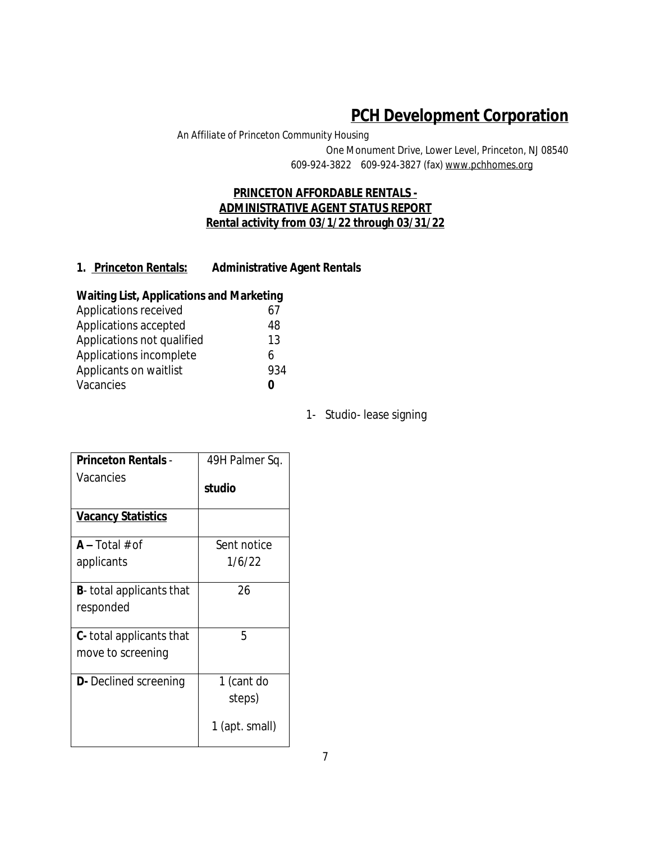# **PCH Development Corporation**

*An Affiliate of Princeton Community Housing*

One Monument Drive, Lower Level, Princeton, NJ 08540 609-924-3822 609-924-3827 (fax) www.pchhomes.org

#### **PRINCETON AFFORDABLE RENTALS - ADMINISTRATIVE AGENT STATUS REPORT Rental activity from 03/1/22 through 03/31/22**

#### **1. Princeton Rentals: Administrative Agent Rentals**

#### **Waiting List, Applications and Marketing**

| 61  |
|-----|
| 48  |
| 13  |
| 6   |
| 934 |
|     |
|     |

1- Studio- lease signing

| <b>Princeton Rentals -</b>       | 49H Palmer Sq. |
|----------------------------------|----------------|
| Vacancies                        | studio         |
| <u>Vacancy Statistics</u>        |                |
| $A - Total # of$                 | Sent notice    |
| applicants                       | 1/6/22         |
| <b>B</b> - total applicants that | 26             |
| responded                        |                |
| <b>C</b> -total applicants that  | 5              |
| move to screening                |                |
| <b>D</b> - Declined screening    | 1 (cant do     |
|                                  | steps)         |
|                                  | 1 (apt. small) |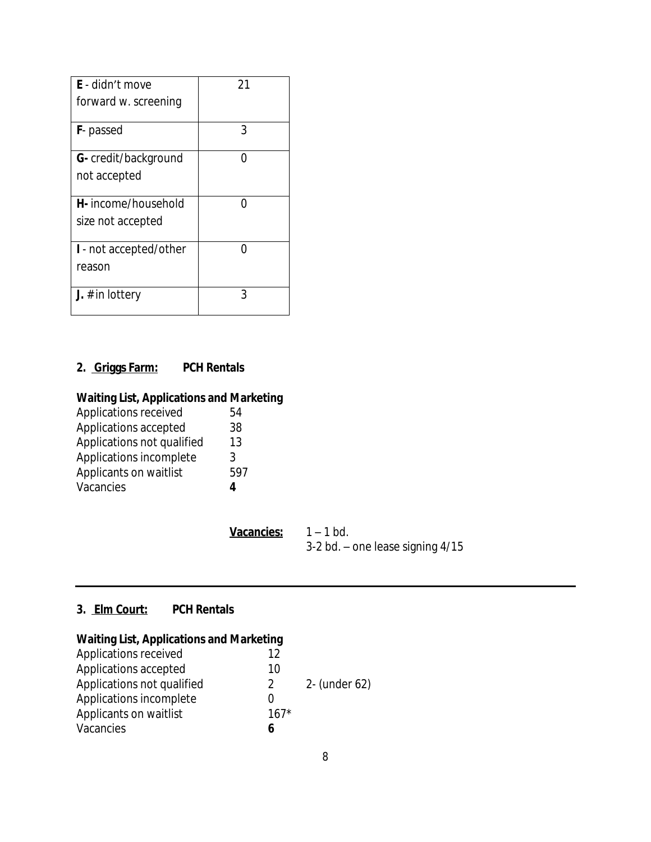| E - didn't move              | 21 |
|------------------------------|----|
| forward w. screening         |    |
| <b>F</b> -passed             | 3  |
| <b>G</b> - credit/background |    |
| not accepted                 |    |
| H- income/household          | ∩  |
| size not accepted            |    |
| I - not accepted/other       | ∩  |
| reason                       |    |
| <b>J.</b> # in lottery       | २  |

## **2. Griggs Farm: PCH Rentals**

# **Waiting List, Applications and Marketing**

| Applications received      | 54  |
|----------------------------|-----|
| Applications accepted      | 38  |
| Applications not qualified | 13  |
| Applications incomplete    | 3   |
| Applicants on waitlist     | 597 |
| Vacancies                  | Δ   |
|                            |     |

| <b>Vacancies:</b> | $1 - 1$ bd.                          |
|-------------------|--------------------------------------|
|                   | $3-2$ bd. – one lease signing $4/15$ |

#### **3. Elm Court: PCH Rentals**

## **Waiting List, Applications and Marketing**

| Applications received      | 12            |               |
|----------------------------|---------------|---------------|
| Applications accepted      | 10            |               |
| Applications not qualified | $\mathcal{P}$ | 2- (under 62) |
| Applications incomplete    |               |               |
| Applicants on waitlist     | $167*$        |               |
| Vacancies                  |               |               |
|                            |               |               |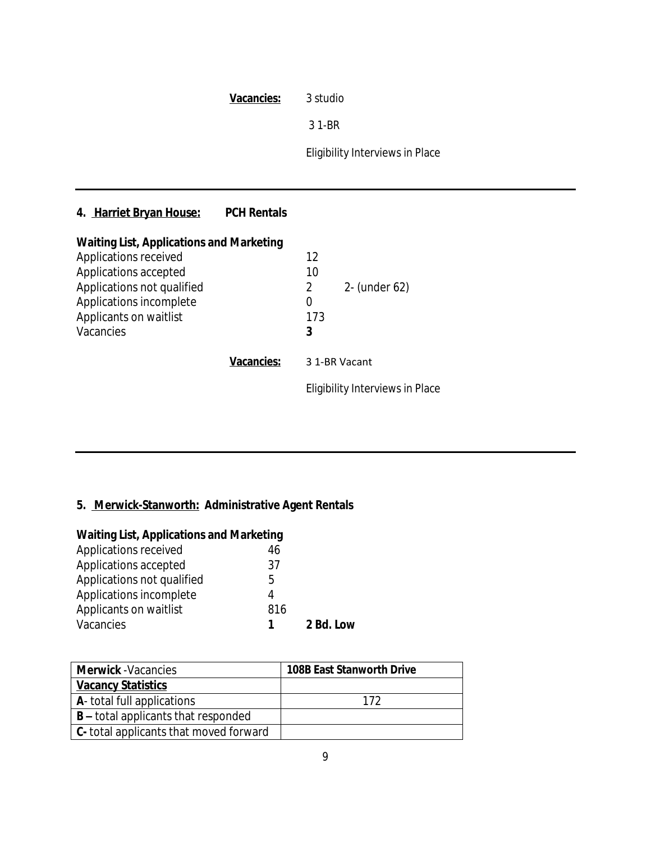|                                                                                                                                                                                                   | <b>Vacancies:</b>  | 3 studio                                                            |  |
|---------------------------------------------------------------------------------------------------------------------------------------------------------------------------------------------------|--------------------|---------------------------------------------------------------------|--|
|                                                                                                                                                                                                   |                    | 3 1-BR                                                              |  |
|                                                                                                                                                                                                   |                    | Eligibility Interviews in Place                                     |  |
|                                                                                                                                                                                                   |                    |                                                                     |  |
| 4. Harriet Bryan House:                                                                                                                                                                           | <b>PCH Rentals</b> |                                                                     |  |
| <b>Waiting List, Applications and Marketing</b><br>Applications received<br>Applications accepted<br>Applications not qualified<br>Applications incomplete<br>Applicants on waitlist<br>Vacancies |                    | 12<br>10<br>2- (under 62)<br>$\overline{2}$<br>$\Omega$<br>173<br>3 |  |
|                                                                                                                                                                                                   | Vacancies:         | 3 1-BR Vacant                                                       |  |
|                                                                                                                                                                                                   |                    | Eligibility Interviews in Place                                     |  |

# **5. Merwick-Stanworth: Administrative Agent Rentals**

| <b>Waiting List, Applications and Marketing</b> |           |  |  |  |
|-------------------------------------------------|-----------|--|--|--|
| 46                                              |           |  |  |  |
| 37                                              |           |  |  |  |
| 5                                               |           |  |  |  |
| 4                                               |           |  |  |  |
| 816                                             |           |  |  |  |
| 1                                               | 2 Bd. Low |  |  |  |
|                                                 |           |  |  |  |

| <b>Merwick</b> - Vacancies                     | <b>108B East Stanworth Drive</b> |
|------------------------------------------------|----------------------------------|
| <b>Vacancy Statistics</b>                      |                                  |
| <b>A</b> - total full applications             | 172                              |
| $B$ – total applicants that responded          |                                  |
| <b>C</b> - total applicants that moved forward |                                  |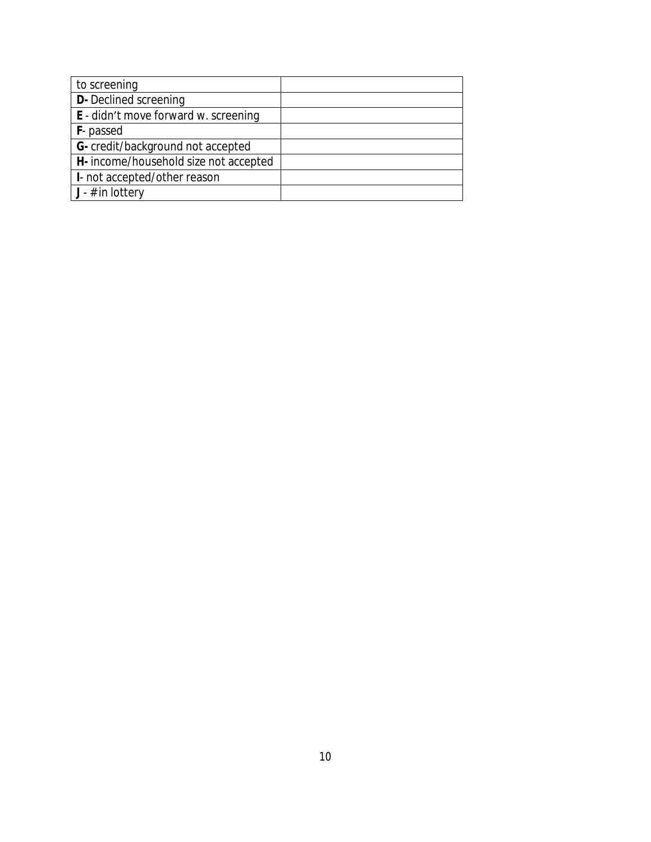| to screening                                |  |
|---------------------------------------------|--|
| <b>D-</b> Declined screening                |  |
| <b>E</b> - didn't move forward w. screening |  |
| <b>F</b> -passed                            |  |
| G- credit/background not accepted           |  |
| H- income/household size not accepted       |  |
| I- not accepted/other reason                |  |
| $J - #$ in lottery                          |  |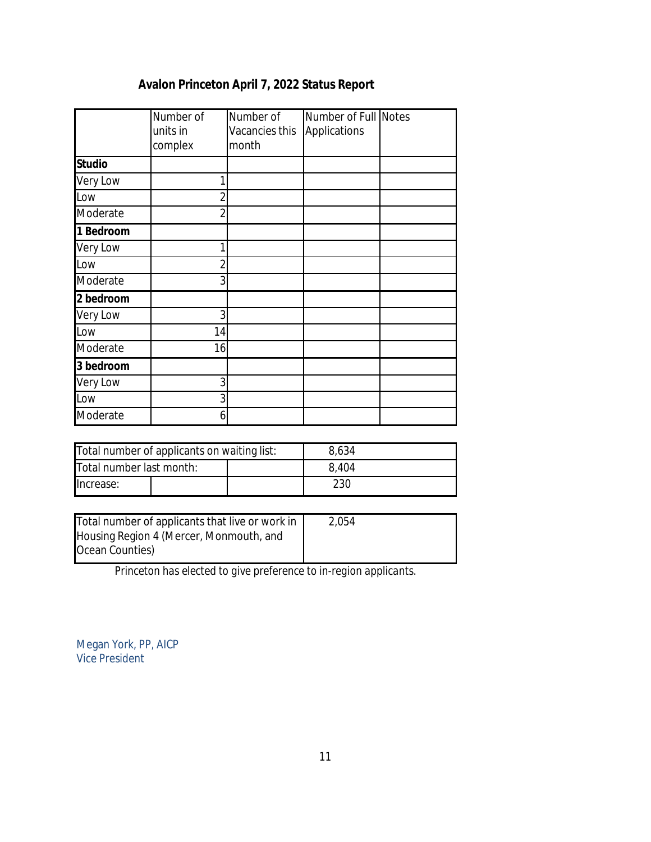# **Avalon Princeton April 7, 2022 Status Report**

|               | Number of<br>units in<br>complex | Number of<br>Vacancies this<br>month | Number of Full Notes<br>Applications |  |
|---------------|----------------------------------|--------------------------------------|--------------------------------------|--|
| <b>Studio</b> |                                  |                                      |                                      |  |
| Very Low      |                                  |                                      |                                      |  |
| Low           |                                  |                                      |                                      |  |
| Moderate      | 2                                |                                      |                                      |  |
| 1 Bedroom     |                                  |                                      |                                      |  |
| Very Low      |                                  |                                      |                                      |  |
| Low           | $\overline{2}$                   |                                      |                                      |  |
| Moderate      | 3                                |                                      |                                      |  |
| 2 bedroom     |                                  |                                      |                                      |  |
| Very Low      | 3                                |                                      |                                      |  |
| Low           | 14                               |                                      |                                      |  |
| Moderate      | 16                               |                                      |                                      |  |
| 3 bedroom     |                                  |                                      |                                      |  |
| Very Low      | 3                                |                                      |                                      |  |
| Low           | 3                                |                                      |                                      |  |
| Moderate      | 6                                |                                      |                                      |  |

| Total number of applicants on waiting list: |  | 8,634 |     |  |
|---------------------------------------------|--|-------|-----|--|
| Total number last month:                    |  | 8.404 |     |  |
| lncrease:                                   |  |       | 230 |  |

| Total number of applicants that live or work in | 2,054 |
|-------------------------------------------------|-------|
| Housing Region 4 (Mercer, Monmouth, and         |       |
| Ocean Counties)                                 |       |

*Princeton has elected to give preference to in-region applicants.*

Megan York, PP, AICP Vice President